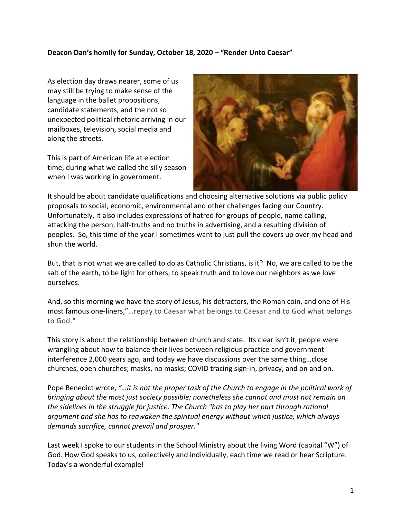## **Deacon Dan's homily for Sunday, October 18, 2020 – "Render Unto Caesar"**

As election day draws nearer, some of us may still be trying to make sense of the language in the ballet propositions, candidate statements, and the not so unexpected political rhetoric arriving in our mailboxes, television, social media and along the streets.

This is part of American life at election time, during what we called the silly season when I was working in government.



It should be about candidate qualifications and choosing alternative solutions via public policy proposals to social, economic, environmental and other challenges facing our Country. Unfortunately, it also includes expressions of hatred for groups of people, name calling, attacking the person, half-truths and no truths in advertising, and a resulting division of peoples. So, this time of the year I sometimes want to just pull the covers up over my head and shun the world.

But, that is not what we are called to do as Catholic Christians, is it? No, we are called to be the salt of the earth, to be light for others, to speak truth and to love our neighbors as we love ourselves.

And, so this morning we have the story of Jesus, his detractors, the Roman coin, and one of His most famous one-liners,"…repay to Caesar what belongs to Caesar and to God what belongs to God."

This story is about the relationship between church and state. Its clear isn't it, people were wrangling about how to balance their lives between religious practice and government interference 2,000 years ago, and today we have discussions over the same thing…close churches, open churches; masks, no masks; COVID tracing sign-in, privacy, and on and on.

Pope Benedict wrote, *"…it is not the proper task of the Church to engage in the political work of bringing about the most just society possible; nonetheless she cannot and must not remain on the sidelines in the struggle for justice. The Church "has to play her part through rational argument and she has to reawaken the spiritual energy without which justice, which always demands sacrifice, cannot prevail and prosper."*

Last week I spoke to our students in the School Ministry about the living Word (capital "W") of God. How God speaks to us, collectively and individually, each time we read or hear Scripture. Today's a wonderful example!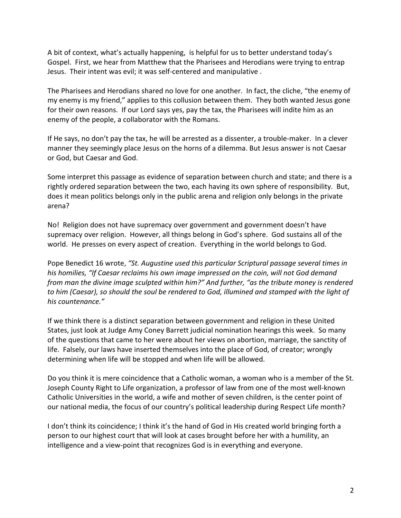A bit of context, what's actually happening, is helpful for us to better understand today's Gospel. First, we hear from Matthew that the Pharisees and Herodians were trying to entrap Jesus. Their intent was evil; it was self-centered and manipulative .

The Pharisees and Herodians shared no love for one another. In fact, the cliche, "the enemy of my enemy is my friend," applies to this collusion between them. They both wanted Jesus gone for their own reasons. If our Lord says yes, pay the tax, the Pharisees will indite him as an enemy of the people, a collaborator with the Romans.

If He says, no don't pay the tax, he will be arrested as a dissenter, a trouble-maker. In a clever manner they seemingly place Jesus on the horns of a dilemma. But Jesus answer is not Caesar or God, but Caesar and God.

Some interpret this passage as evidence of separation between church and state; and there is a rightly ordered separation between the two, each having its own sphere of responsibility. But, does it mean politics belongs only in the public arena and religion only belongs in the private arena?

No! Religion does not have supremacy over government and government doesn't have supremacy over religion. However, all things belong in God's sphere. God sustains all of the world. He presses on every aspect of creation. Everything in the world belongs to God.

Pope Benedict 16 wrote, *"St. Augustine used this particular Scriptural passage several times in his homilies, "If Caesar reclaims his own image impressed on the coin, will not God demand from man the divine image sculpted within him?" And further, "as the tribute money is rendered to him (Caesar), so should the soul be rendered to God, illumined and stamped with the light of his countenance."*

If we think there is a distinct separation between government and religion in these United States, just look at Judge Amy Coney Barrett judicial nomination hearings this week. So many of the questions that came to her were about her views on abortion, marriage, the sanctity of life. Falsely, our laws have inserted themselves into the place of God, of creator; wrongly determining when life will be stopped and when life will be allowed.

Do you think it is mere coincidence that a Catholic woman, a woman who is a member of the St. Joseph County Right to Life organization, a professor of law from one of the most well-known Catholic Universities in the world, a wife and mother of seven children, is the center point of our national media, the focus of our country's political leadership during Respect Life month?

I don't think its coincidence; I think it's the hand of God in His created world bringing forth a person to our highest court that will look at cases brought before her with a humility, an intelligence and a view-point that recognizes God is in everything and everyone.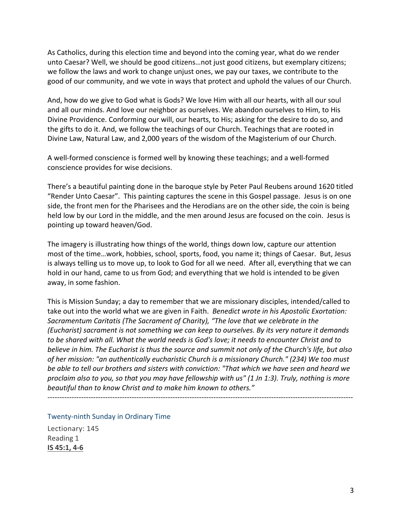As Catholics, during this election time and beyond into the coming year, what do we render unto Caesar? Well, we should be good citizens…not just good citizens, but exemplary citizens; we follow the laws and work to change unjust ones, we pay our taxes, we contribute to the good of our community, and we vote in ways that protect and uphold the values of our Church.

And, how do we give to God what is Gods? We love Him with all our hearts, with all our soul and all our minds. And love our neighbor as ourselves. We abandon ourselves to Him, to His Divine Providence. Conforming our will, our hearts, to His; asking for the desire to do so, and the gifts to do it. And, we follow the teachings of our Church. Teachings that are rooted in Divine Law, Natural Law, and 2,000 years of the wisdom of the Magisterium of our Church.

A well-formed conscience is formed well by knowing these teachings; and a well-formed conscience provides for wise decisions.

There's a beautiful painting done in the baroque style by Peter Paul Reubens around 1620 titled "Render Unto Caesar". This painting captures the scene in this Gospel passage. Jesus is on one side, the front men for the Pharisees and the Herodians are on the other side, the coin is being held low by our Lord in the middle, and the men around Jesus are focused on the coin. Jesus is pointing up toward heaven/God.

The imagery is illustrating how things of the world, things down low, capture our attention most of the time…work, hobbies, school, sports, food, you name it; things of Caesar. But, Jesus is always telling us to move up, to look to God for all we need. After all, everything that we can hold in our hand, came to us from God; and everything that we hold is intended to be given away, in some fashion.

This is Mission Sunday; a day to remember that we are missionary disciples, intended/called to take out into the world what we are given in Faith. *Benedict wrote in his Apostolic Exortation: Sacramentum Caritatis (The Sacrament of Charity), "The love that we celebrate in the (Eucharist) sacrament is not something we can keep to ourselves. By its very nature it demands to be shared with all. What the world needs is God's love; it needs to encounter Christ and to believe in him. The Eucharist is thus the source and summit not only of the Church's life, but also of her mission: "an authentically eucharistic Church is a missionary Church." (234) We too must be able to tell our brothers and sisters with conviction: "That which we have seen and heard we proclaim also to you, so that you may have fellowship with us" (1 Jn 1:3). Truly, nothing is more beautiful than to know Christ and to make him known to others."*

-------------------------------------------------------------------------------------------------------------------------------

Twenty-ninth Sunday in Ordinary Time

Lectionary: 145 Reading 1 **IS 45:1, 4-6**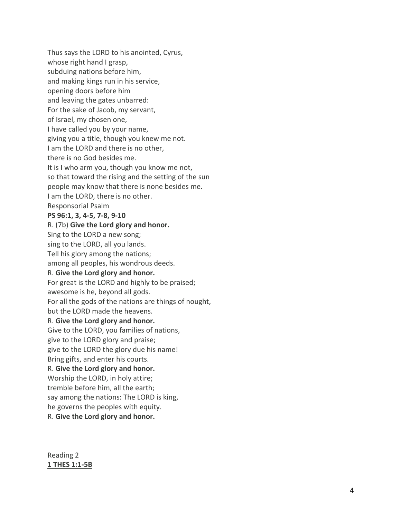Thus says the LORD to his anointed, Cyrus, whose right hand I grasp, subduing nations before him, and making kings run in his service, opening doors before him and leaving the gates unbarred: For the sake of Jacob, my servant, of Israel, my chosen one, I have called you by your name, giving you a title, though you knew me not. I am the LORD and there is no other, there is no God besides me. It is I who arm you, though you know me not, so that toward the rising and the setting of the sun people may know that there is none besides me. I am the LORD, there is no other. Responsorial Psalm **PS 96:1, 3, 4 -5, 7 -8, 9 -10** R. (7b) **Give the Lord glory and honor.** Sing to the LORD a new song; sing to the LORD, all you lands. Tell his glory among the nations; among all peoples, his wondrous deeds. R. **Give the Lord glor y and honor.** For great is the LORD and highly to be praised; awesome is he, beyond all gods. For all the gods of the nations are things of nought, but the LORD made the heavens. R. **Give the Lord glory and honor.** Give to the LORD, you families of nations, give to the LORD glory and praise; give to the LORD the glory due his name! Bring gifts, and enter his courts. R. **Give the Lord glory and honor.** Worship the LORD, in holy attire; tremble before him, all the earth; say among the nations: The LORD is king, he governs the peoples with equity. R. **Give the Lord glory and honor.**

Reading 2 **1 THES 1:1 -5B**